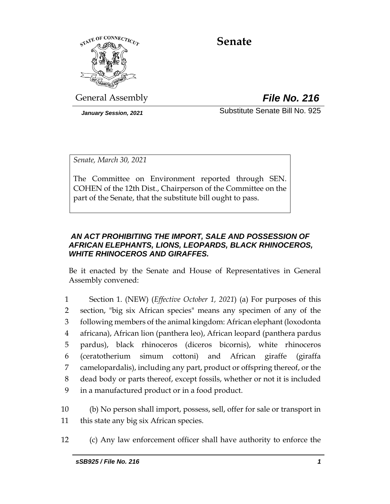

# **Senate**

General Assembly *File No. 216*

*January Session, 2021* Substitute Senate Bill No. 925

*Senate, March 30, 2021*

The Committee on Environment reported through SEN. COHEN of the 12th Dist., Chairperson of the Committee on the part of the Senate, that the substitute bill ought to pass.

## *AN ACT PROHIBITING THE IMPORT, SALE AND POSSESSION OF AFRICAN ELEPHANTS, LIONS, LEOPARDS, BLACK RHINOCEROS, WHITE RHINOCEROS AND GIRAFFES.*

Be it enacted by the Senate and House of Representatives in General Assembly convened:

 Section 1. (NEW) (*Effective October 1, 2021*) (a) For purposes of this section, "big six African species" means any specimen of any of the following members of the animal kingdom: African elephant (loxodonta africana), African lion (panthera leo), African leopard (panthera pardus pardus), black rhinoceros (diceros bicornis), white rhinoceros (ceratotherium simum cottoni) and African giraffe (giraffa camelopardalis), including any part, product or offspring thereof, or the dead body or parts thereof, except fossils, whether or not it is included in a manufactured product or in a food product.

10 (b) No person shall import, possess, sell, offer for sale or transport in 11 this state any big six African species.

12 (c) Any law enforcement officer shall have authority to enforce the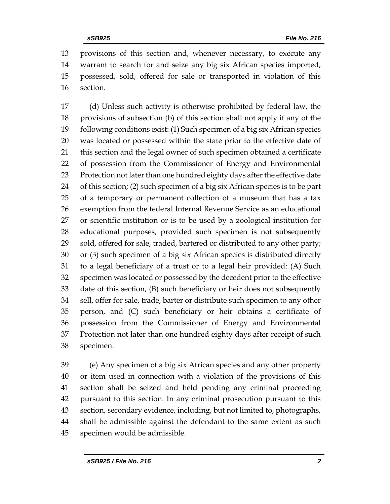provisions of this section and, whenever necessary, to execute any warrant to search for and seize any big six African species imported, possessed, sold, offered for sale or transported in violation of this section.

 (d) Unless such activity is otherwise prohibited by federal law, the provisions of subsection (b) of this section shall not apply if any of the following conditions exist: (1) Such specimen of a big six African species was located or possessed within the state prior to the effective date of this section and the legal owner of such specimen obtained a certificate of possession from the Commissioner of Energy and Environmental Protection not later than one hundred eighty days after the effective date of this section; (2) such specimen of a big six African species is to be part of a temporary or permanent collection of a museum that has a tax exemption from the federal Internal Revenue Service as an educational or scientific institution or is to be used by a zoological institution for educational purposes, provided such specimen is not subsequently sold, offered for sale, traded, bartered or distributed to any other party; or (3) such specimen of a big six African species is distributed directly to a legal beneficiary of a trust or to a legal heir provided: (A) Such specimen was located or possessed by the decedent prior to the effective date of this section, (B) such beneficiary or heir does not subsequently sell, offer for sale, trade, barter or distribute such specimen to any other person, and (C) such beneficiary or heir obtains a certificate of possession from the Commissioner of Energy and Environmental Protection not later than one hundred eighty days after receipt of such specimen.

 (e) Any specimen of a big six African species and any other property or item used in connection with a violation of the provisions of this section shall be seized and held pending any criminal proceeding pursuant to this section. In any criminal prosecution pursuant to this section, secondary evidence, including, but not limited to, photographs, shall be admissible against the defendant to the same extent as such specimen would be admissible.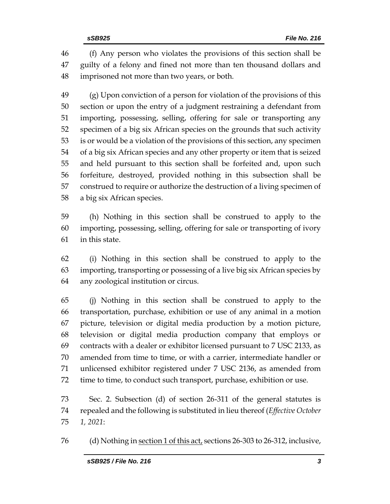(f) Any person who violates the provisions of this section shall be guilty of a felony and fined not more than ten thousand dollars and imprisoned not more than two years, or both.

 (g) Upon conviction of a person for violation of the provisions of this section or upon the entry of a judgment restraining a defendant from importing, possessing, selling, offering for sale or transporting any specimen of a big six African species on the grounds that such activity is or would be a violation of the provisions of this section, any specimen of a big six African species and any other property or item that is seized and held pursuant to this section shall be forfeited and, upon such forfeiture, destroyed, provided nothing in this subsection shall be construed to require or authorize the destruction of a living specimen of a big six African species.

 (h) Nothing in this section shall be construed to apply to the importing, possessing, selling, offering for sale or transporting of ivory in this state.

 (i) Nothing in this section shall be construed to apply to the importing, transporting or possessing of a live big six African species by any zoological institution or circus.

 (j) Nothing in this section shall be construed to apply to the transportation, purchase, exhibition or use of any animal in a motion picture, television or digital media production by a motion picture, television or digital media production company that employs or contracts with a dealer or exhibitor licensed pursuant to 7 USC 2133, as amended from time to time, or with a carrier, intermediate handler or unlicensed exhibitor registered under 7 USC 2136, as amended from time to time, to conduct such transport, purchase, exhibition or use.

 Sec. 2. Subsection (d) of section 26-311 of the general statutes is repealed and the following is substituted in lieu thereof (*Effective October 1, 2021*:

(d) Nothing in section 1 of this act, sections 26-303 to 26-312, inclusive,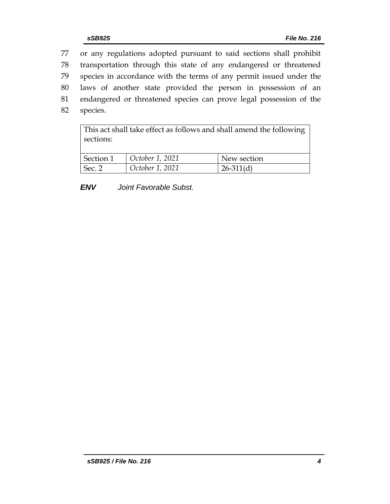or any regulations adopted pursuant to said sections shall prohibit transportation through this state of any endangered or threatened species in accordance with the terms of any permit issued under the laws of another state provided the person in possession of an endangered or threatened species can prove legal possession of the 82 species.

| This act shall take effect as follows and shall amend the following<br>sections: |                 |             |  |  |
|----------------------------------------------------------------------------------|-----------------|-------------|--|--|
| Section 1                                                                        | October 1, 2021 | New section |  |  |
| Sec. 2                                                                           | October 1, 2021 | $26-311(d)$ |  |  |

*ENV Joint Favorable Subst.*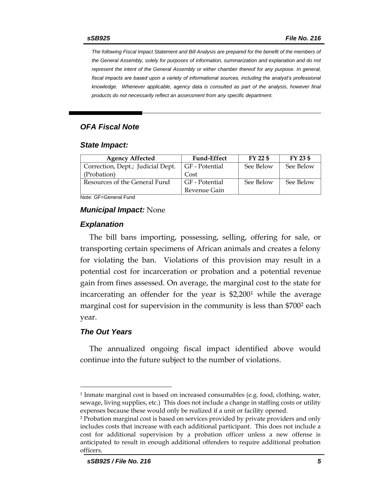*The following Fiscal Impact Statement and Bill Analysis are prepared for the benefit of the members of the General Assembly, solely for purposes of information, summarization and explanation and do not represent the intent of the General Assembly or either chamber thereof for any purpose. In general, fiscal impacts are based upon a variety of informational sources, including the analyst's professional knowledge. Whenever applicable, agency data is consulted as part of the analysis, however final products do not necessarily reflect an assessment from any specific department.*

#### *OFA Fiscal Note*

#### *State Impact:*

| <b>Agency Affected</b>            | <b>Fund-Effect</b> | FY 22 \$  | FY 23 \$  |
|-----------------------------------|--------------------|-----------|-----------|
| Correction, Dept.; Judicial Dept. | GF - Potential     | See Below | See Below |
| (Probation)                       | Cost               |           |           |
| Resources of the General Fund     | GF - Potential     | See Below | See Below |
|                                   | Revenue Gain       |           |           |

Note: GF=General Fund

#### *Municipal Impact:* None

#### *Explanation*

The bill bans importing, possessing, selling, offering for sale, or transporting certain specimens of African animals and creates a felony for violating the ban. Violations of this provision may result in a potential cost for incarceration or probation and a potential revenue gain from fines assessed. On average, the marginal cost to the state for incarcerating an offender for the year is \$2,200<sup>1</sup> while the average marginal cost for supervision in the community is less than \$700<sup>2</sup> each year.

#### *The Out Years*

 $\overline{a}$ 

The annualized ongoing fiscal impact identified above would continue into the future subject to the number of violations.

<sup>1</sup> Inmate marginal cost is based on increased consumables (e.g. food, clothing, water, sewage, living supplies, etc.) This does not include a change in staffing costs or utility expenses because these would only be realized if a unit or facility opened.

<sup>2</sup> Probation marginal cost is based on services provided by private providers and only includes costs that increase with each additional participant. This does not include a cost for additional supervision by a probation officer unless a new offense is anticipated to result in enough additional offenders to require additional probation officers.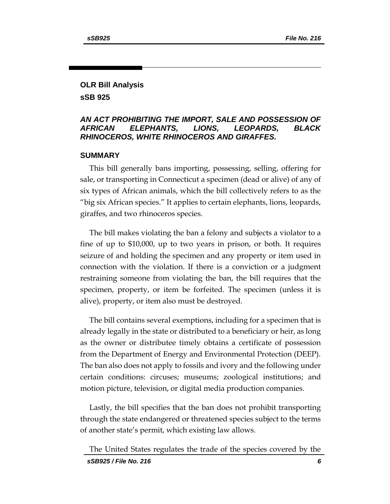# **OLR Bill Analysis sSB 925**

### *AN ACT PROHIBITING THE IMPORT, SALE AND POSSESSION OF AFRICAN ELEPHANTS, LIONS, LEOPARDS, BLACK RHINOCEROS, WHITE RHINOCEROS AND GIRAFFES.*

#### **SUMMARY**

This bill generally bans importing, possessing, selling, offering for sale, or transporting in Connecticut a specimen (dead or alive) of any of six types of African animals, which the bill collectively refers to as the "big six African species." It applies to certain elephants, lions, leopards, giraffes, and two rhinoceros species.

The bill makes violating the ban a felony and subjects a violator to a fine of up to \$10,000, up to two years in prison, or both. It requires seizure of and holding the specimen and any property or item used in connection with the violation. If there is a conviction or a judgment restraining someone from violating the ban, the bill requires that the specimen, property, or item be forfeited. The specimen (unless it is alive), property, or item also must be destroyed.

The bill contains several exemptions, including for a specimen that is already legally in the state or distributed to a beneficiary or heir, as long as the owner or distributee timely obtains a certificate of possession from the Department of Energy and Environmental Protection (DEEP). The ban also does not apply to fossils and ivory and the following under certain conditions: circuses; museums; zoological institutions; and motion picture, television, or digital media production companies.

Lastly, the bill specifies that the ban does not prohibit transporting through the state endangered or threatened species subject to the terms of another state's permit, which existing law allows.

The United States regulates the trade of the species covered by the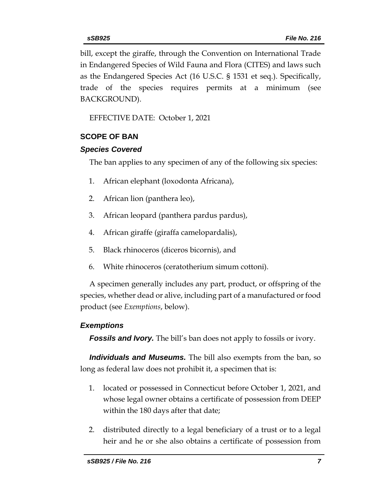bill, except the giraffe, through the Convention on International Trade in Endangered Species of Wild Fauna and Flora (CITES) and laws such as the Endangered Species Act (16 U.S.C. § 1531 et seq.). Specifically, trade of the species requires permits at a minimum (see BACKGROUND).

EFFECTIVE DATE: October 1, 2021

# **SCOPE OF BAN**

## *Species Covered*

The ban applies to any specimen of any of the following six species:

- 1. African elephant (loxodonta Africana),
- 2. African lion (panthera leo),
- 3. African leopard (panthera pardus pardus),
- 4. African giraffe (giraffa camelopardalis),
- 5. Black rhinoceros (diceros bicornis), and
- 6. White rhinoceros (ceratotherium simum cottoni).

A specimen generally includes any part, product, or offspring of the species, whether dead or alive, including part of a manufactured or food product (see *Exemptions*, below).

# *Exemptions*

**Fossils and Ivory.** The bill's ban does not apply to fossils or ivory.

*Individuals and Museums.* The bill also exempts from the ban, so long as federal law does not prohibit it, a specimen that is:

- 1. located or possessed in Connecticut before October 1, 2021, and whose legal owner obtains a certificate of possession from DEEP within the 180 days after that date;
- 2. distributed directly to a legal beneficiary of a trust or to a legal heir and he or she also obtains a certificate of possession from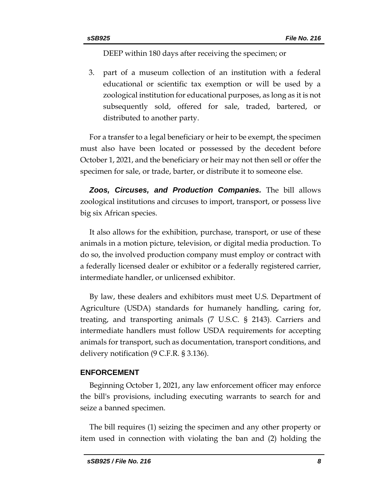DEEP within 180 days after receiving the specimen; or

3. part of a museum collection of an institution with a federal educational or scientific tax exemption or will be used by a zoological institution for educational purposes, as long as it is not subsequently sold, offered for sale, traded, bartered, or distributed to another party.

For a transfer to a legal beneficiary or heir to be exempt, the specimen must also have been located or possessed by the decedent before October 1, 2021, and the beneficiary or heir may not then sell or offer the specimen for sale, or trade, barter, or distribute it to someone else.

*Zoos, Circuses, and Production Companies.* The bill allows zoological institutions and circuses to import, transport, or possess live big six African species.

It also allows for the exhibition, purchase, transport, or use of these animals in a motion picture, television, or digital media production. To do so, the involved production company must employ or contract with a federally licensed dealer or exhibitor or a federally registered carrier, intermediate handler, or unlicensed exhibitor.

By law, these dealers and exhibitors must meet U.S. Department of Agriculture (USDA) standards for humanely handling, caring for, treating, and transporting animals (7 U.S.C. § 2143). Carriers and intermediate handlers must follow USDA requirements for accepting animals for transport, such as documentation, transport conditions, and delivery notification (9 C.F.R. § 3.136).

#### **ENFORCEMENT**

Beginning October 1, 2021, any law enforcement officer may enforce the bill's provisions, including executing warrants to search for and seize a banned specimen.

The bill requires (1) seizing the specimen and any other property or item used in connection with violating the ban and (2) holding the